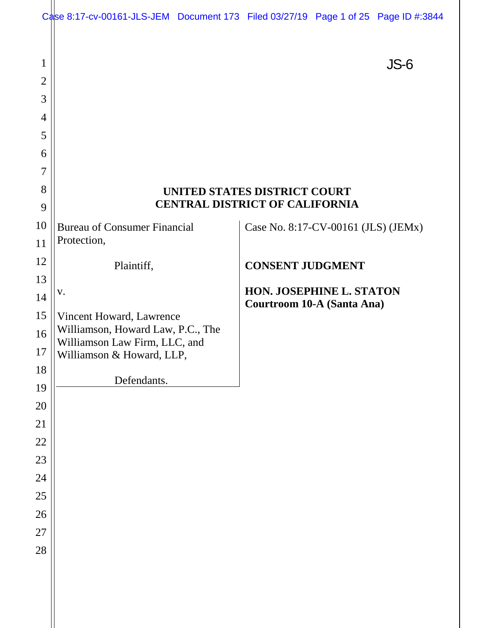|                     | Case 8:17-cv-00161-JLS-JEM Document 173 Filed 03/27/19 Page 1 of 25 Page ID #:3844 |                                       |                                     |      |
|---------------------|------------------------------------------------------------------------------------|---------------------------------------|-------------------------------------|------|
| 1<br>$\overline{2}$ |                                                                                    |                                       |                                     | JS-6 |
| 3                   |                                                                                    |                                       |                                     |      |
| $\overline{4}$<br>5 |                                                                                    |                                       |                                     |      |
| 6                   |                                                                                    |                                       |                                     |      |
| $\overline{7}$      |                                                                                    |                                       |                                     |      |
| 8                   |                                                                                    | UNITED STATES DISTRICT COURT          |                                     |      |
| 9                   |                                                                                    | <b>CENTRAL DISTRICT OF CALIFORNIA</b> |                                     |      |
| 10                  | <b>Bureau of Consumer Financial</b>                                                |                                       | Case No. 8:17-CV-00161 (JLS) (JEMx) |      |
| 11                  | Protection,                                                                        |                                       |                                     |      |
| 12                  | Plaintiff,                                                                         |                                       | <b>CONSENT JUDGMENT</b>             |      |
| 13                  |                                                                                    |                                       | HON. JOSEPHINE L. STATON            |      |
| 14                  | V.                                                                                 |                                       | <b>Courtroom 10-A (Santa Ana)</b>   |      |
| 15                  | Vincent Howard, Lawrence<br>Williamson, Howard Law, P.C., The                      |                                       |                                     |      |
| 16                  | Williamson Law Firm, LLC, and                                                      |                                       |                                     |      |
| 17                  | Williamson & Howard, LLP,                                                          |                                       |                                     |      |
| 18<br>19            | Defendants.                                                                        |                                       |                                     |      |
| 20                  |                                                                                    |                                       |                                     |      |
| 21                  |                                                                                    |                                       |                                     |      |
| 22                  |                                                                                    |                                       |                                     |      |
| 23                  |                                                                                    |                                       |                                     |      |
| 24                  |                                                                                    |                                       |                                     |      |
| 25                  |                                                                                    |                                       |                                     |      |
| 26                  |                                                                                    |                                       |                                     |      |
| 27                  |                                                                                    |                                       |                                     |      |
| 28                  |                                                                                    |                                       |                                     |      |
|                     |                                                                                    |                                       |                                     |      |
|                     |                                                                                    |                                       |                                     |      |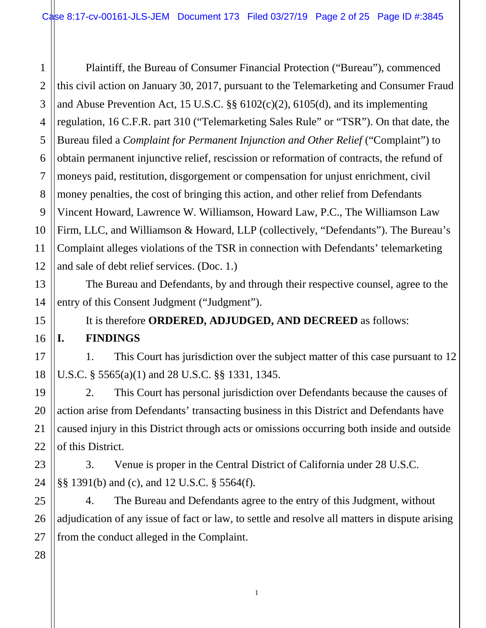1 2 3 4 5 6 7 8 9 10 11 12 Plaintiff, the Bureau of Consumer Financial Protection ("Bureau"), commenced this civil action on January 30, 2017, pursuant to the Telemarketing and Consumer Fraud and Abuse Prevention Act, 15 U.S.C. §§ 6102(c)(2), 6105(d), and its implementing regulation, 16 C.F.R. part 310 ("Telemarketing Sales Rule" or "TSR"). On that date, the Bureau filed a *Complaint for Permanent Injunction and Other Relief* ("Complaint") to obtain permanent injunctive relief, rescission or reformation of contracts, the refund of moneys paid, restitution, disgorgement or compensation for unjust enrichment, civil money penalties, the cost of bringing this action, and other relief from Defendants Vincent Howard, Lawrence W. Williamson, Howard Law, P.C., The Williamson Law Firm, LLC, and Williamson & Howard, LLP (collectively, "Defendants"). The Bureau's Complaint alleges violations of the TSR in connection with Defendants' telemarketing and sale of debt relief services. (Doc. 1.)

The Bureau and Defendants, by and through their respective counsel, agree to the entry of this Consent Judgment ("Judgment").

It is therefore **ORDERED, ADJUDGED, AND DECREED** as follows: **I. FINDINGS**

1. This Court has jurisdiction over the subject matter of this case pursuant to 12 U.S.C. § 5565(a)(1) and 28 U.S.C. §§ 1331, 1345.

2. This Court has personal jurisdiction over Defendants because the causes of action arise from Defendants' transacting business in this District and Defendants have caused injury in this District through acts or omissions occurring both inside and outside of this District.

3. Venue is proper in the Central District of California under 28 U.S.C. §§ 1391(b) and (c), and 12 U.S.C. § 5564(f).

4. The Bureau and Defendants agree to the entry of this Judgment, without adjudication of any issue of fact or law, to settle and resolve all matters in dispute arising from the conduct alleged in the Complaint.

1

28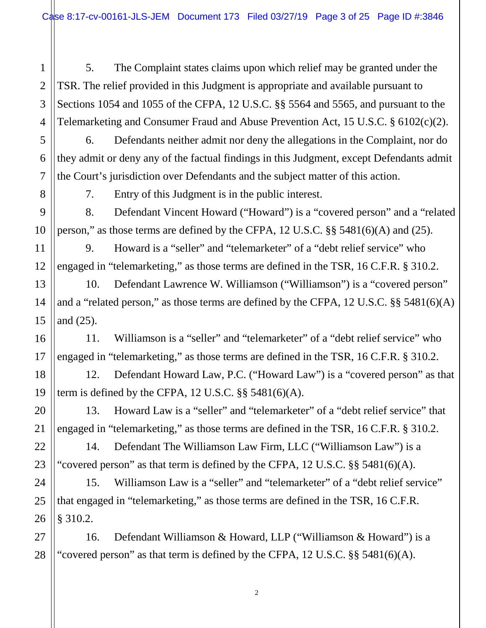2 3 4 5. The Complaint states claims upon which relief may be granted under the TSR. The relief provided in this Judgment is appropriate and available pursuant to Sections 1054 and 1055 of the CFPA, 12 U.S.C. §§ 5564 and 5565, and pursuant to the Telemarketing and Consumer Fraud and Abuse Prevention Act, 15 U.S.C. § 6102(c)(2).

6. Defendants neither admit nor deny the allegations in the Complaint, nor do they admit or deny any of the factual findings in this Judgment, except Defendants admit the Court's jurisdiction over Defendants and the subject matter of this action.

8

1

5

6

7

9

10

11

12

13

14

15

16

17

20

21

22

23

25

7. Entry of this Judgment is in the public interest.

8. Defendant Vincent Howard ("Howard") is a "covered person" and a "related person," as those terms are defined by the CFPA, 12 U.S.C. §§ 5481(6)(A) and (25).

9. Howard is a "seller" and "telemarketer" of a "debt relief service" who engaged in "telemarketing," as those terms are defined in the TSR, 16 C.F.R. § 310.2.

10. Defendant Lawrence W. Williamson ("Williamson") is a "covered person" and a "related person," as those terms are defined by the CFPA, 12 U.S.C. §§ 5481(6)(A) and (25).

11. Williamson is a "seller" and "telemarketer" of a "debt relief service" who engaged in "telemarketing," as those terms are defined in the TSR, 16 C.F.R. § 310.2.

18 19 12. Defendant Howard Law, P.C. ("Howard Law") is a "covered person" as that term is defined by the CFPA,  $12$  U.S.C.  $\S$ § 5481(6)(A).

13. Howard Law is a "seller" and "telemarketer" of a "debt relief service" that engaged in "telemarketing," as those terms are defined in the TSR, 16 C.F.R. § 310.2.

14. Defendant The Williamson Law Firm, LLC ("Williamson Law") is a "covered person" as that term is defined by the CFPA, 12 U.S.C. §§ 5481(6)(A).

24 26 15. Williamson Law is a "seller" and "telemarketer" of a "debt relief service" that engaged in "telemarketing," as those terms are defined in the TSR, 16 C.F.R. § 310.2.

27 28 16. Defendant Williamson & Howard, LLP ("Williamson & Howard") is a "covered person" as that term is defined by the CFPA,  $12$  U.S.C. §§ 5481(6)(A).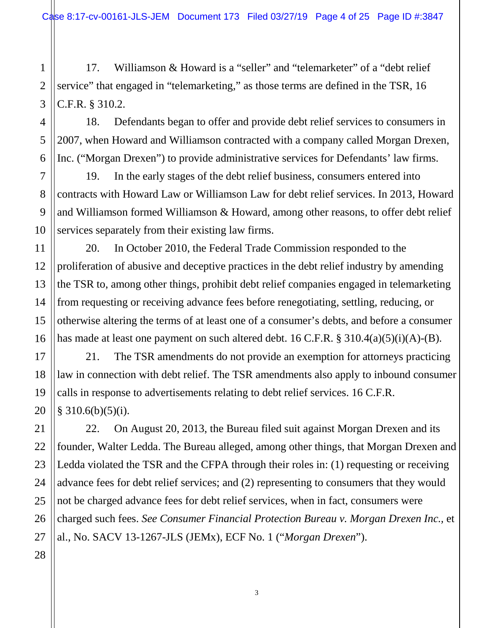Case 8:17-cv-00161-JLS-JEM Document 173 Filed 03/27/19 Page 4 of 25 Page ID #:3847

1 2 3 17. Williamson & Howard is a "seller" and "telemarketer" of a "debt relief service" that engaged in "telemarketing," as those terms are defined in the TSR, 16 C.F.R. § 310.2.

18. Defendants began to offer and provide debt relief services to consumers in 2007, when Howard and Williamson contracted with a company called Morgan Drexen, Inc. ("Morgan Drexen") to provide administrative services for Defendants' law firms.

19. In the early stages of the debt relief business, consumers entered into contracts with Howard Law or Williamson Law for debt relief services. In 2013, Howard and Williamson formed Williamson & Howard, among other reasons, to offer debt relief services separately from their existing law firms.

20. In October 2010, the Federal Trade Commission responded to the proliferation of abusive and deceptive practices in the debt relief industry by amending the TSR to, among other things, prohibit debt relief companies engaged in telemarketing from requesting or receiving advance fees before renegotiating, settling, reducing, or otherwise altering the terms of at least one of a consumer's debts, and before a consumer has made at least one payment on such altered debt.  $16$  C.F.R. §  $310.4(a)(5)(i)(A)$ -(B).

21. The TSR amendments do not provide an exemption for attorneys practicing law in connection with debt relief. The TSR amendments also apply to inbound consumer calls in response to advertisements relating to debt relief services. 16 C.F.R.  $§$  310.6(b)(5)(i).

22. On August 20, 2013, the Bureau filed suit against Morgan Drexen and its founder, Walter Ledda. The Bureau alleged, among other things, that Morgan Drexen and Ledda violated the TSR and the CFPA through their roles in: (1) requesting or receiving advance fees for debt relief services; and (2) representing to consumers that they would not be charged advance fees for debt relief services, when in fact, consumers were charged such fees. *See Consumer Financial Protection Bureau v. Morgan Drexen Inc.,* et al., No. SACV 13-1267-JLS (JEMx), ECF No. 1 ("*Morgan Drexen*").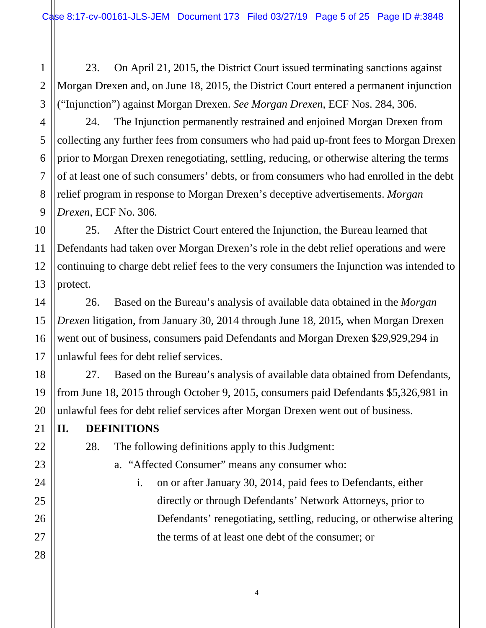1 2 23. On April 21, 2015, the District Court issued terminating sanctions against Morgan Drexen and, on June 18, 2015, the District Court entered a permanent injunction ("Injunction") against Morgan Drexen. *See Morgan Drexen*, ECF Nos. 284, 306.

24. The Injunction permanently restrained and enjoined Morgan Drexen from collecting any further fees from consumers who had paid up-front fees to Morgan Drexen prior to Morgan Drexen renegotiating, settling, reducing, or otherwise altering the terms of at least one of such consumers' debts, or from consumers who had enrolled in the debt relief program in response to Morgan Drexen's deceptive advertisements. *Morgan Drexen*, ECF No. 306.

25. After the District Court entered the Injunction, the Bureau learned that Defendants had taken over Morgan Drexen's role in the debt relief operations and were continuing to charge debt relief fees to the very consumers the Injunction was intended to protect.

26. Based on the Bureau's analysis of available data obtained in the *Morgan Drexen* litigation, from January 30, 2014 through June 18, 2015, when Morgan Drexen went out of business, consumers paid Defendants and Morgan Drexen \$29,929,294 in unlawful fees for debt relief services.

27. Based on the Bureau's analysis of available data obtained from Defendants, from June 18, 2015 through October 9, 2015, consumers paid Defendants \$5,326,981 in unlawful fees for debt relief services after Morgan Drexen went out of business.

**II. DEFINITIONS**

- 28. The following definitions apply to this Judgment:
	- a. "Affected Consumer" means any consumer who:
		- i. on or after January 30, 2014, paid fees to Defendants, either directly or through Defendants' Network Attorneys, prior to Defendants' renegotiating, settling, reducing, or otherwise altering the terms of at least one debt of the consumer; or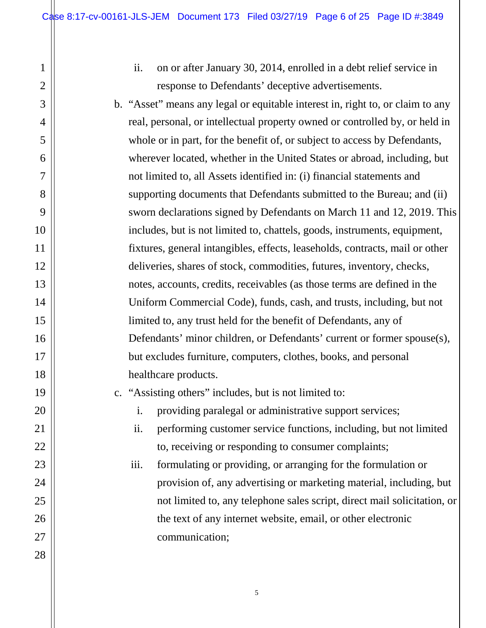ii. on or after January 30, 2014, enrolled in a debt relief service in response to Defendants' deceptive advertisements.

b. "Asset" means any legal or equitable interest in, right to, or claim to any real, personal, or intellectual property owned or controlled by, or held in whole or in part, for the benefit of, or subject to access by Defendants, wherever located, whether in the United States or abroad, including, but not limited to, all Assets identified in: (i) financial statements and supporting documents that Defendants submitted to the Bureau; and (ii) sworn declarations signed by Defendants on March 11 and 12, 2019. This includes, but is not limited to, chattels, goods, instruments, equipment, fixtures, general intangibles, effects, leaseholds, contracts, mail or other deliveries, shares of stock, commodities, futures, inventory, checks, notes, accounts, credits, receivables (as those terms are defined in the Uniform Commercial Code), funds, cash, and trusts, including, but not limited to, any trust held for the benefit of Defendants, any of Defendants' minor children, or Defendants' current or former spouse(s), but excludes furniture, computers, clothes, books, and personal healthcare products.

c. "Assisting others" includes, but is not limited to:

i. providing paralegal or administrative support services;

ii. performing customer service functions, including, but not limited to, receiving or responding to consumer complaints;

iii. formulating or providing, or arranging for the formulation or provision of, any advertising or marketing material, including, but not limited to, any telephone sales script, direct mail solicitation, or the text of any internet website, email, or other electronic communication;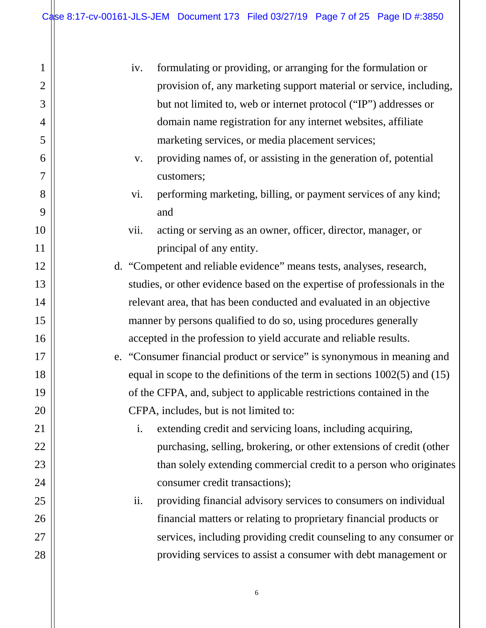1

2

3

4

5

6

7

8

9

10

11

12

13

14

15

16

17

18

19

20

21

22

23

24

25

26

27

| iv.  | formulating or providing, or arranging for the formulation or                  |
|------|--------------------------------------------------------------------------------|
|      | provision of, any marketing support material or service, including,            |
|      | but not limited to, web or internet protocol ("IP") addresses or               |
|      | domain name registration for any internet websites, affiliate                  |
|      | marketing services, or media placement services;                               |
| V.   | providing names of, or assisting in the generation of, potential               |
|      | customers;                                                                     |
| vi.  | performing marketing, billing, or payment services of any kind;                |
|      | and                                                                            |
| vii. | acting or serving as an owner, officer, director, manager, or                  |
|      | principal of any entity.                                                       |
|      | d. "Competent and reliable evidence" means tests, analyses, research,          |
|      | studies, or other evidence based on the expertise of professionals in the      |
|      | relevant area, that has been conducted and evaluated in an objective           |
|      | manner by persons qualified to do so, using procedures generally               |
|      | accepted in the profession to yield accurate and reliable results.             |
|      | e. "Consumer financial product or service" is synonymous in meaning and        |
|      | equal in scope to the definitions of the term in sections $1002(5)$ and $(15)$ |
|      | of the CFPA, and, subject to applicable restrictions contained in the          |
|      | CFPA, includes, but is not limited to:                                         |
| i.   | extending credit and servicing loans, including acquiring,                     |
|      | purchasing, selling, brokering, or other extensions of credit (other           |
|      | than solely extending commercial credit to a person who originates             |
|      | consumer credit transactions);                                                 |
| ii.  | providing financial advisory services to consumers on individual               |
|      | financial matters or relating to proprietary financial products or             |
|      | services, including providing credit counseling to any consumer or             |
|      | providing services to assist a consumer with debt management or                |
|      |                                                                                |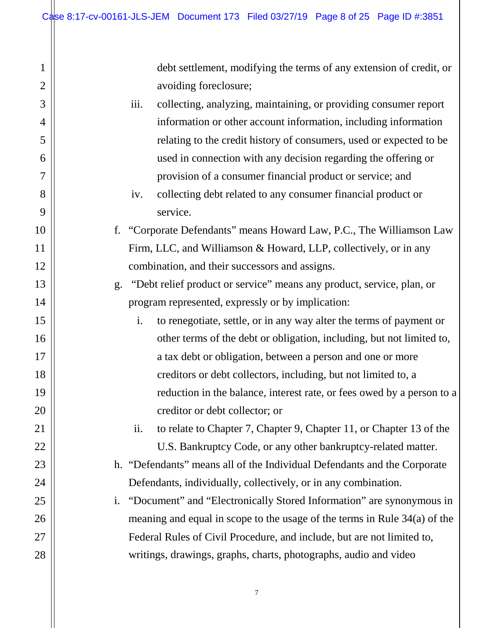debt settlement, modifying the terms of any extension of credit, or avoiding foreclosure;

iii. collecting, analyzing, maintaining, or providing consumer report information or other account information, including information relating to the credit history of consumers, used or expected to be used in connection with any decision regarding the offering or provision of a consumer financial product or service; and

iv. collecting debt related to any consumer financial product or service.

f. "Corporate Defendants" means Howard Law, P.C., The Williamson Law Firm, LLC, and Williamson & Howard, LLP, collectively, or in any combination, and their successors and assigns.

g. "Debt relief product or service" means any product, service, plan, or program represented, expressly or by implication:

i. to renegotiate, settle, or in any way alter the terms of payment or other terms of the debt or obligation, including, but not limited to, a tax debt or obligation, between a person and one or more creditors or debt collectors, including, but not limited to, a reduction in the balance, interest rate, or fees owed by a person to a creditor or debt collector; or

ii. to relate to Chapter 7, Chapter 9, Chapter 11, or Chapter 13 of the U.S. Bankruptcy Code, or any other bankruptcy-related matter.

h. "Defendants" means all of the Individual Defendants and the Corporate Defendants, individually, collectively, or in any combination.

i. "Document" and "Electronically Stored Information" are synonymous in meaning and equal in scope to the usage of the terms in Rule 34(a) of the Federal Rules of Civil Procedure, and include, but are not limited to, writings, drawings, graphs, charts, photographs, audio and video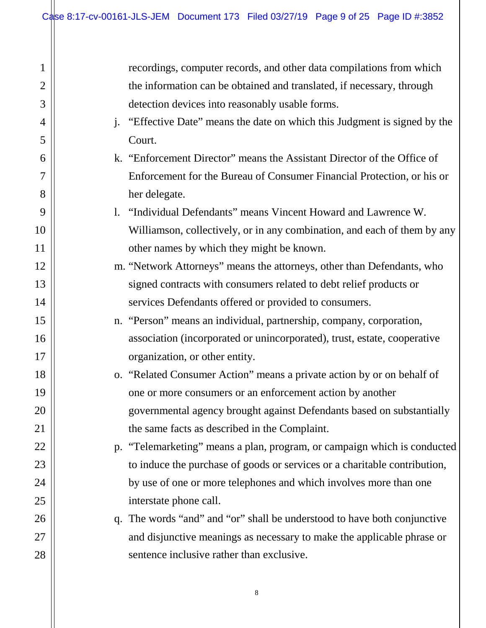$\mathbb{I}$ 

| 1              | recordings, computer records, and other data compilations from which                      |
|----------------|-------------------------------------------------------------------------------------------|
| $\overline{2}$ | the information can be obtained and translated, if necessary, through                     |
| 3              | detection devices into reasonably usable forms.                                           |
| $\overline{4}$ | "Effective Date" means the date on which this Judgment is signed by the<br>$\mathbf{i}$ . |
| 5              | Court.                                                                                    |
| 6              | k. "Enforcement Director" means the Assistant Director of the Office of                   |
| 7              | Enforcement for the Bureau of Consumer Financial Protection, or his or                    |
| 8              | her delegate.                                                                             |
| 9              | 1. "Individual Defendants" means Vincent Howard and Lawrence W.                           |
| 10             | Williamson, collectively, or in any combination, and each of them by any                  |
| 11             | other names by which they might be known.                                                 |
| 12             | m. "Network Attorneys" means the attorneys, other than Defendants, who                    |
| 13             | signed contracts with consumers related to debt relief products or                        |
| 14             | services Defendants offered or provided to consumers.                                     |
| 15             | n. "Person" means an individual, partnership, company, corporation,                       |
| 16             | association (incorporated or unincorporated), trust, estate, cooperative                  |
| 17             | organization, or other entity.                                                            |
| 18             | o. "Related Consumer Action" means a private action by or on behalf of                    |
| 19             | one or more consumers or an enforcement action by another                                 |
| 20             | governmental agency brought against Defendants based on substantially                     |
| 21             | the same facts as described in the Complaint.                                             |
| 22             | p. "Telemarketing" means a plan, program, or campaign which is conducted                  |
| 23             | to induce the purchase of goods or services or a charitable contribution,                 |
| 24             | by use of one or more telephones and which involves more than one                         |
| 25             | interstate phone call.                                                                    |
| 26             | q. The words "and" and "or" shall be understood to have both conjunctive                  |
| 27             | and disjunctive meanings as necessary to make the applicable phrase or                    |
| 28             | sentence inclusive rather than exclusive.                                                 |
|                |                                                                                           |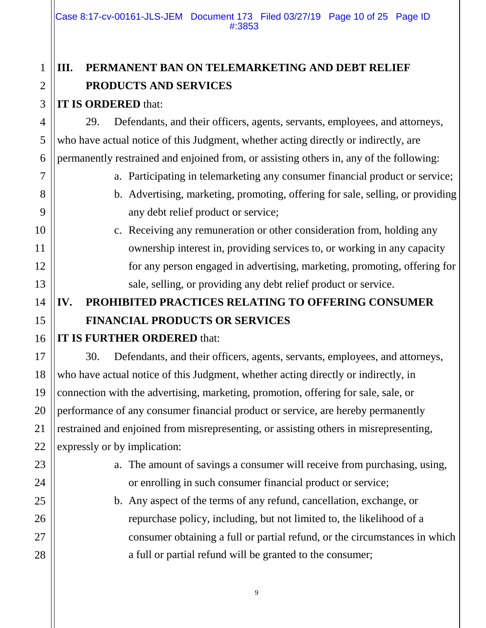Case 8:17-cv-00161-JLS-JEM Document 173 Filed 03/27/19 Page 10 of 25 Page ID #:3853

### **III. PERMANENT BAN ON TELEMARKETING AND DEBT RELIEF PRODUCTS AND SERVICES**

#### **IT IS ORDERED** that:

29. Defendants, and their officers, agents, servants, employees, and attorneys, who have actual notice of this Judgment, whether acting directly or indirectly, are permanently restrained and enjoined from, or assisting others in, any of the following:

- a. Participating in telemarketing any consumer financial product or service;
- b. Advertising, marketing, promoting, offering for sale, selling, or providing any debt relief product or service;
- c. Receiving any remuneration or other consideration from, holding any ownership interest in, providing services to, or working in any capacity for any person engaged in advertising, marketing, promoting, offering for sale, selling, or providing any debt relief product or service.

# **IV. PROHIBITED PRACTICES RELATING TO OFFERING CONSUMER FINANCIAL PRODUCTS OR SERVICES**

#### **IT IS FURTHER ORDERED** that:

30. Defendants, and their officers, agents, servants, employees, and attorneys, who have actual notice of this Judgment, whether acting directly or indirectly, in connection with the advertising, marketing, promotion, offering for sale, sale, or performance of any consumer financial product or service, are hereby permanently restrained and enjoined from misrepresenting, or assisting others in misrepresenting, expressly or by implication:

- a. The amount of savings a consumer will receive from purchasing, using, or enrolling in such consumer financial product or service;
- b. Any aspect of the terms of any refund, cancellation, exchange, or repurchase policy, including, but not limited to, the likelihood of a consumer obtaining a full or partial refund, or the circumstances in which a full or partial refund will be granted to the consumer;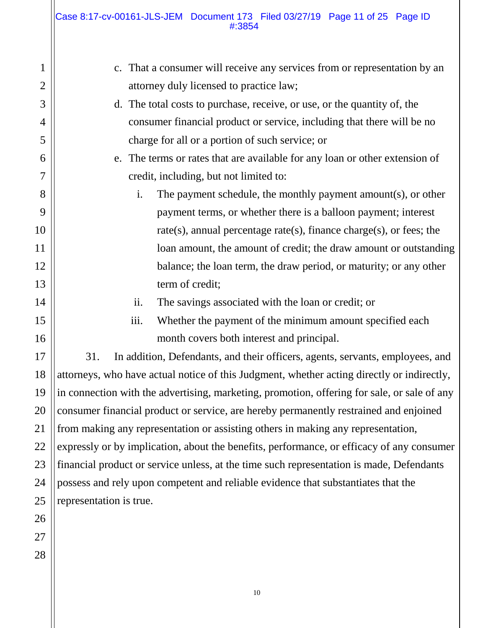| $\mathbf{1}$     | That a consumer will receive any services from or representation by an<br>c.                |  |
|------------------|---------------------------------------------------------------------------------------------|--|
| $\overline{2}$   | attorney duly licensed to practice law;                                                     |  |
| 3                | d. The total costs to purchase, receive, or use, or the quantity of, the                    |  |
| 4                | consumer financial product or service, including that there will be no                      |  |
| 5                | charge for all or a portion of such service; or                                             |  |
| 6                | The terms or rates that are available for any loan or other extension of<br>e.              |  |
| 7                | credit, including, but not limited to:                                                      |  |
| 8                | The payment schedule, the monthly payment amount(s), or other<br>$\mathbf{i}$ .             |  |
| 9                | payment terms, or whether there is a balloon payment; interest                              |  |
| $\boldsymbol{0}$ | rate(s), annual percentage rate(s), finance charge(s), or fees; the                         |  |
| $\mathbf{1}$     | loan amount, the amount of credit; the draw amount or outstanding                           |  |
| $\overline{c}$   | balance; the loan term, the draw period, or maturity; or any other                          |  |
| 3                | term of credit;                                                                             |  |
| 4                | ii.<br>The savings associated with the loan or credit; or                                   |  |
| 5                | iii.<br>Whether the payment of the minimum amount specified each                            |  |
| 6                | month covers both interest and principal.                                                   |  |
| 7                | 31.<br>In addition, Defendants, and their officers, agents, servants, employees, and        |  |
| 8                | attorneys, who have actual notice of this Judgment, whether acting directly or indirectly,  |  |
| 9                | in connection with the advertising, marketing, promotion, offering for sale, or sale of any |  |
| 0                | consumer financial product or service, are hereby permanently restrained and enjoined       |  |
| $\mathbf 1$      | from making any representation or assisting others in making any representation,            |  |
| $\overline{c}$   | expressly or by implication, about the benefits, performance, or efficacy of any consumer   |  |
| 3                | financial product or service unless, at the time such representation is made, Defendants    |  |
| 4                | possess and rely upon competent and reliable evidence that substantiates that the           |  |
| 5                | representation is true.                                                                     |  |
|                  |                                                                                             |  |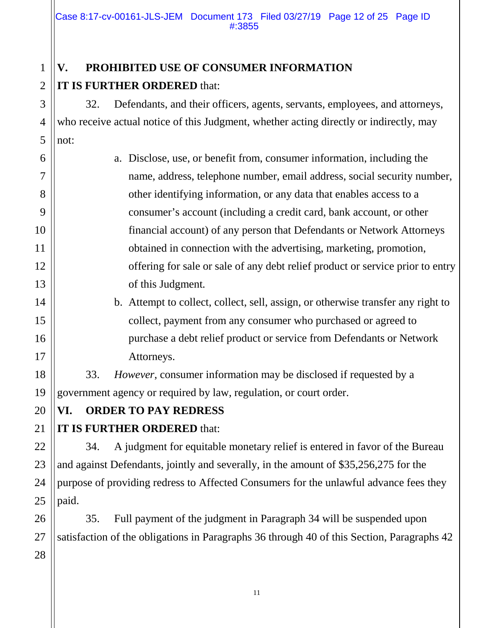## **V. PROHIBITED USE OF CONSUMER INFORMATION IT IS FURTHER ORDERED** that:

32. Defendants, and their officers, agents, servants, employees, and attorneys, who receive actual notice of this Judgment, whether acting directly or indirectly, may not:

a. Disclose, use, or benefit from, consumer information, including the name, address, telephone number, email address, social security number, other identifying information, or any data that enables access to a consumer's account (including a credit card, bank account, or other financial account) of any person that Defendants or Network Attorneys obtained in connection with the advertising, marketing, promotion, offering for sale or sale of any debt relief product or service prior to entry of this Judgment*.*

# b. Attempt to collect, collect, sell, assign, or otherwise transfer any right to collect, payment from any consumer who purchased or agreed to purchase a debt relief product or service from Defendants or Network Attorneys.

33. *However*, consumer information may be disclosed if requested by a government agency or required by law, regulation, or court order.

### **VI. ORDER TO PAY REDRESS**

### **IT IS FURTHER ORDERED** that:

34. A judgment for equitable monetary relief is entered in favor of the Bureau and against Defendants, jointly and severally, in the amount of \$35,256,275 for the purpose of providing redress to Affected Consumers for the unlawful advance fees they paid.

35. Full payment of the judgment in Paragraph 34 will be suspended upon satisfaction of the obligations in Paragraphs 36 through 40 of this Section, Paragraphs 42

1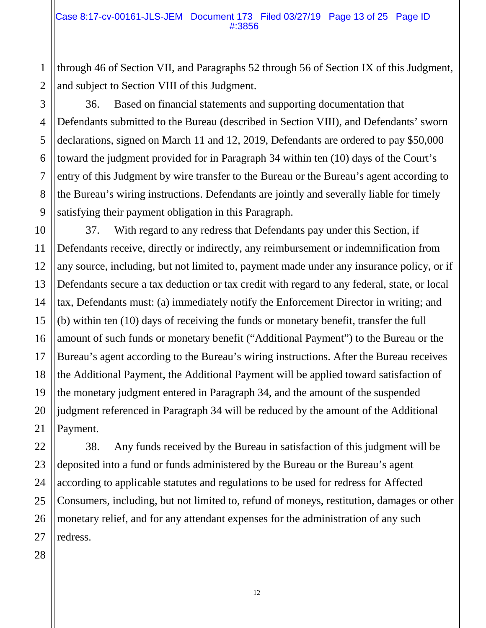through 46 of Section VII, and Paragraphs 52 through 56 of Section IX of this Judgment, and subject to Section VIII of this Judgment.

36. Based on financial statements and supporting documentation that Defendants submitted to the Bureau (described in Section VIII), and Defendants' sworn declarations, signed on March 11 and 12, 2019, Defendants are ordered to pay \$50,000 toward the judgment provided for in Paragraph 34 within ten (10) days of the Court's entry of this Judgment by wire transfer to the Bureau or the Bureau's agent according to the Bureau's wiring instructions. Defendants are jointly and severally liable for timely satisfying their payment obligation in this Paragraph.

37. With regard to any redress that Defendants pay under this Section, if Defendants receive, directly or indirectly, any reimbursement or indemnification from any source, including, but not limited to, payment made under any insurance policy, or if Defendants secure a tax deduction or tax credit with regard to any federal, state, or local tax, Defendants must: (a) immediately notify the Enforcement Director in writing; and (b) within ten (10) days of receiving the funds or monetary benefit, transfer the full amount of such funds or monetary benefit ("Additional Payment") to the Bureau or the Bureau's agent according to the Bureau's wiring instructions. After the Bureau receives the Additional Payment, the Additional Payment will be applied toward satisfaction of the monetary judgment entered in Paragraph 34, and the amount of the suspended judgment referenced in Paragraph 34 will be reduced by the amount of the Additional Payment.

38. Any funds received by the Bureau in satisfaction of this judgment will be deposited into a fund or funds administered by the Bureau or the Bureau's agent according to applicable statutes and regulations to be used for redress for Affected Consumers, including, but not limited to, refund of moneys, restitution, damages or other monetary relief, and for any attendant expenses for the administration of any such redress.

1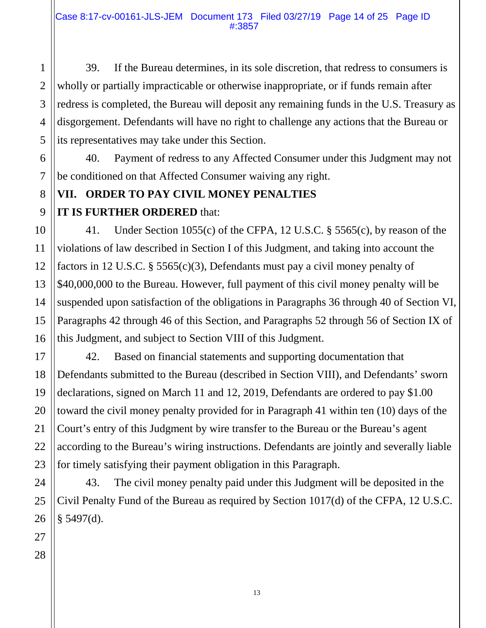39. If the Bureau determines, in its sole discretion, that redress to consumers is wholly or partially impracticable or otherwise inappropriate, or if funds remain after redress is completed, the Bureau will deposit any remaining funds in the U.S. Treasury as disgorgement. Defendants will have no right to challenge any actions that the Bureau or its representatives may take under this Section.

40. Payment of redress to any Affected Consumer under this Judgment may not be conditioned on that Affected Consumer waiving any right.

# **VII. ORDER TO PAY CIVIL MONEY PENALTIES IT IS FURTHER ORDERED** that:

41. Under Section 1055(c) of the CFPA, 12 U.S.C. § 5565(c), by reason of the violations of law described in Section I of this Judgment, and taking into account the factors in 12 U.S.C. § 5565(c)(3), Defendants must pay a civil money penalty of \$40,000,000 to the Bureau. However, full payment of this civil money penalty will be suspended upon satisfaction of the obligations in Paragraphs 36 through 40 of Section VI, Paragraphs 42 through 46 of this Section, and Paragraphs 52 through 56 of Section IX of this Judgment, and subject to Section VIII of this Judgment.

42. Based on financial statements and supporting documentation that Defendants submitted to the Bureau (described in Section VIII), and Defendants' sworn declarations, signed on March 11 and 12, 2019, Defendants are ordered to pay \$1.00 toward the civil money penalty provided for in Paragraph 41 within ten (10) days of the Court's entry of this Judgment by wire transfer to the Bureau or the Bureau's agent according to the Bureau's wiring instructions. Defendants are jointly and severally liable for timely satisfying their payment obligation in this Paragraph.

43. The civil money penalty paid under this Judgment will be deposited in the Civil Penalty Fund of the Bureau as required by Section 1017(d) of the CFPA, 12 U.S.C. § 5497(d).

1

2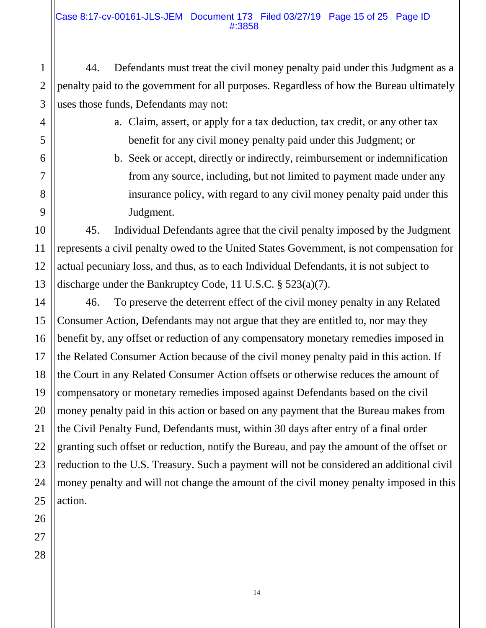44. Defendants must treat the civil money penalty paid under this Judgment as a penalty paid to the government for all purposes. Regardless of how the Bureau ultimately uses those funds, Defendants may not:

- a. Claim, assert, or apply for a tax deduction, tax credit, or any other tax benefit for any civil money penalty paid under this Judgment; or
- b. Seek or accept, directly or indirectly, reimbursement or indemnification from any source, including, but not limited to payment made under any insurance policy, with regard to any civil money penalty paid under this Judgment.

45. Individual Defendants agree that the civil penalty imposed by the Judgment represents a civil penalty owed to the United States Government, is not compensation for actual pecuniary loss, and thus, as to each Individual Defendants, it is not subject to discharge under the Bankruptcy Code, 11 U.S.C. § 523(a)(7).

46. To preserve the deterrent effect of the civil money penalty in any Related Consumer Action, Defendants may not argue that they are entitled to, nor may they benefit by, any offset or reduction of any compensatory monetary remedies imposed in the Related Consumer Action because of the civil money penalty paid in this action. If the Court in any Related Consumer Action offsets or otherwise reduces the amount of compensatory or monetary remedies imposed against Defendants based on the civil money penalty paid in this action or based on any payment that the Bureau makes from the Civil Penalty Fund, Defendants must, within 30 days after entry of a final order granting such offset or reduction, notify the Bureau, and pay the amount of the offset or reduction to the U.S. Treasury. Such a payment will not be considered an additional civil money penalty and will not change the amount of the civil money penalty imposed in this action.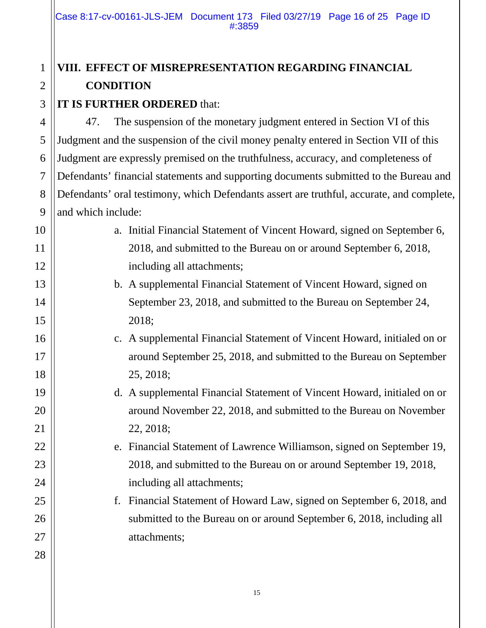# **VIII. EFFECT OF MISREPRESENTATION REGARDING FINANCIAL CONDITION**

#### **IT IS FURTHER ORDERED** that:

1

2

3

4 5 6 7 8 9 47. The suspension of the monetary judgment entered in Section VI of this Judgment and the suspension of the civil money penalty entered in Section VII of this Judgment are expressly premised on the truthfulness, accuracy, and completeness of Defendants' financial statements and supporting documents submitted to the Bureau and Defendants' oral testimony, which Defendants assert are truthful, accurate, and complete, and which include:

| 10 |    | a. Initial Financial Statement of Vincent Howard, signed on September 6, |
|----|----|--------------------------------------------------------------------------|
| 11 |    | 2018, and submitted to the Bureau on or around September 6, 2018,        |
| 12 |    | including all attachments;                                               |
| 13 |    | b. A supplemental Financial Statement of Vincent Howard, signed on       |
| 14 |    | September 23, 2018, and submitted to the Bureau on September 24,         |
| 15 |    | 2018;                                                                    |
| 16 |    | c. A supplemental Financial Statement of Vincent Howard, initialed on or |
| 17 |    | around September 25, 2018, and submitted to the Bureau on September      |
| 18 |    | 25, 2018;                                                                |
| 19 |    | d. A supplemental Financial Statement of Vincent Howard, initialed on or |
| 20 |    | around November 22, 2018, and submitted to the Bureau on November        |
| 21 |    | 22, 2018;                                                                |
| 22 |    | e. Financial Statement of Lawrence Williamson, signed on September 19,   |
| 23 |    | 2018, and submitted to the Bureau on or around September 19, 2018,       |
| 24 |    | including all attachments;                                               |
| 25 | f. | Financial Statement of Howard Law, signed on September 6, 2018, and      |
| 26 |    | submitted to the Bureau on or around September 6, 2018, including all    |
| 27 |    | attachments;                                                             |
| 28 |    |                                                                          |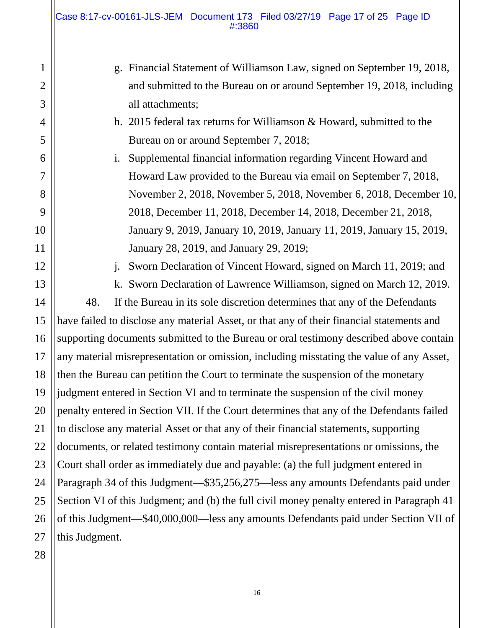Case 8:17-cv-00161-JLS-JEM Document 173 Filed 03/27/19 Page 17 of 25 Page ID #:3860

| 1              | Financial Statement of Williamson Law, signed on September 19, 2018,<br>g.                |  |  |
|----------------|-------------------------------------------------------------------------------------------|--|--|
| $\mathfrak{2}$ | and submitted to the Bureau on or around September 19, 2018, including                    |  |  |
| 3              | all attachments;                                                                          |  |  |
| $\overline{4}$ | h. 2015 federal tax returns for Williamson $&$ Howard, submitted to the                   |  |  |
| 5              | Bureau on or around September 7, 2018;                                                    |  |  |
| 6              | Supplemental financial information regarding Vincent Howard and<br>i.                     |  |  |
| 7              | Howard Law provided to the Bureau via email on September 7, 2018,                         |  |  |
| 8              | November 2, 2018, November 5, 2018, November 6, 2018, December 10,                        |  |  |
| 9              | 2018, December 11, 2018, December 14, 2018, December 21, 2018,                            |  |  |
| 10             | January 9, 2019, January 10, 2019, January 11, 2019, January 15, 2019,                    |  |  |
| 11             | January 28, 2019, and January 29, 2019;                                                   |  |  |
| 12             | Sworn Declaration of Vincent Howard, signed on March 11, 2019; and<br>$\mathbf{i}$ .      |  |  |
| 13             | k. Sworn Declaration of Lawrence Williamson, signed on March 12, 2019.                    |  |  |
| 14             | 48.<br>If the Bureau in its sole discretion determines that any of the Defendants         |  |  |
| 15             | have failed to disclose any material Asset, or that any of their financial statements and |  |  |
| 16             | supporting documents submitted to the Bureau or oral testimony described above contain    |  |  |
| 17             | any material misrepresentation or omission, including misstating the value of any Asset,  |  |  |
| 18             | then the Bureau can petition the Court to terminate the suspension of the monetary        |  |  |
| 19             | judgment entered in Section VI and to terminate the suspension of the civil money         |  |  |
| 20             | penalty entered in Section VII. If the Court determines that any of the Defendants failed |  |  |
| 21             | to disclose any material Asset or that any of their financial statements, supporting      |  |  |
| 22             | documents, or related testimony contain material misrepresentations or omissions, the     |  |  |
| 23             | Court shall order as immediately due and payable: (a) the full judgment entered in        |  |  |
| 24             | Paragraph 34 of this Judgment—\$35,256,275—less any amounts Defendants paid under         |  |  |
| 25             | Section VI of this Judgment; and (b) the full civil money penalty entered in Paragraph 41 |  |  |
| 26             | of this Judgment-\$40,000,000-less any amounts Defendants paid under Section VII of       |  |  |
| 27             | this Judgment.                                                                            |  |  |
| $\sim$ $\sim$  |                                                                                           |  |  |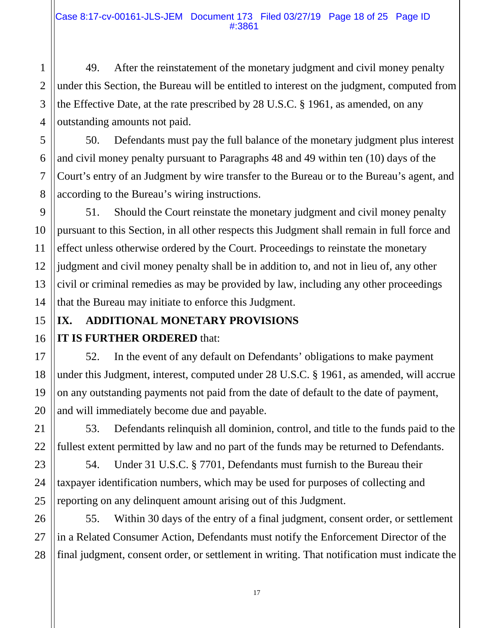49. After the reinstatement of the monetary judgment and civil money penalty under this Section, the Bureau will be entitled to interest on the judgment, computed from the Effective Date, at the rate prescribed by 28 U.S.C. § 1961, as amended, on any outstanding amounts not paid.

50. Defendants must pay the full balance of the monetary judgment plus interest and civil money penalty pursuant to Paragraphs 48 and 49 within ten (10) days of the Court's entry of an Judgment by wire transfer to the Bureau or to the Bureau's agent, and according to the Bureau's wiring instructions.

51. Should the Court reinstate the monetary judgment and civil money penalty pursuant to this Section, in all other respects this Judgment shall remain in full force and effect unless otherwise ordered by the Court. Proceedings to reinstate the monetary judgment and civil money penalty shall be in addition to, and not in lieu of, any other civil or criminal remedies as may be provided by law, including any other proceedings that the Bureau may initiate to enforce this Judgment.

### **IX. ADDITIONAL MONETARY PROVISIONS IT IS FURTHER ORDERED** that:

52. In the event of any default on Defendants' obligations to make payment under this Judgment, interest, computed under 28 U.S.C. § 1961, as amended, will accrue on any outstanding payments not paid from the date of default to the date of payment, and will immediately become due and payable.

53. Defendants relinquish all dominion, control, and title to the funds paid to the fullest extent permitted by law and no part of the funds may be returned to Defendants.

54. Under 31 U.S.C. § 7701, Defendants must furnish to the Bureau their taxpayer identification numbers, which may be used for purposes of collecting and reporting on any delinquent amount arising out of this Judgment.

55. Within 30 days of the entry of a final judgment, consent order, or settlement in a Related Consumer Action, Defendants must notify the Enforcement Director of the final judgment, consent order, or settlement in writing. That notification must indicate the

1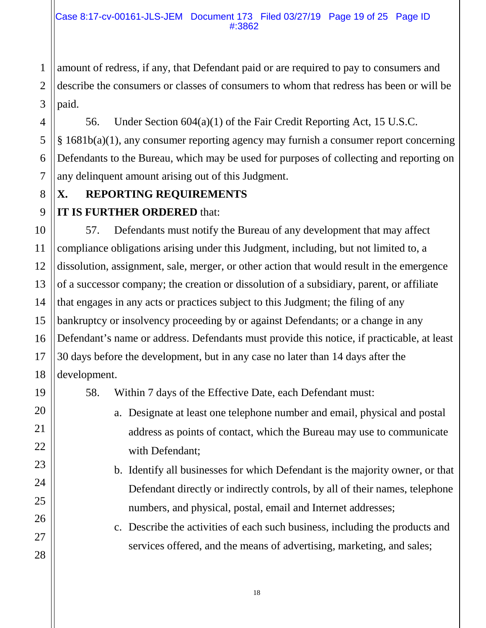1 amount of redress, if any, that Defendant paid or are required to pay to consumers and describe the consumers or classes of consumers to whom that redress has been or will be paid.

56. Under Section 604(a)(1) of the Fair Credit Reporting Act, 15 U.S.C. § 1681b(a)(1), any consumer reporting agency may furnish a consumer report concerning Defendants to the Bureau, which may be used for purposes of collecting and reporting on any delinquent amount arising out of this Judgment.

# **X. REPORTING REQUIREMENTS**

#### **IT IS FURTHER ORDERED** that:

57. Defendants must notify the Bureau of any development that may affect compliance obligations arising under this Judgment, including, but not limited to, a dissolution, assignment, sale, merger, or other action that would result in the emergence of a successor company; the creation or dissolution of a subsidiary, parent, or affiliate that engages in any acts or practices subject to this Judgment; the filing of any bankruptcy or insolvency proceeding by or against Defendants; or a change in any Defendant's name or address. Defendants must provide this notice, if practicable, at least 30 days before the development, but in any case no later than 14 days after the development.

58. Within 7 days of the Effective Date, each Defendant must:

- a. Designate at least one telephone number and email, physical and postal address as points of contact, which the Bureau may use to communicate with Defendant;
- b. Identify all businesses for which Defendant is the majority owner, or that Defendant directly or indirectly controls, by all of their names, telephone numbers, and physical, postal, email and Internet addresses;
- c. Describe the activities of each such business, including the products and services offered, and the means of advertising, marketing, and sales;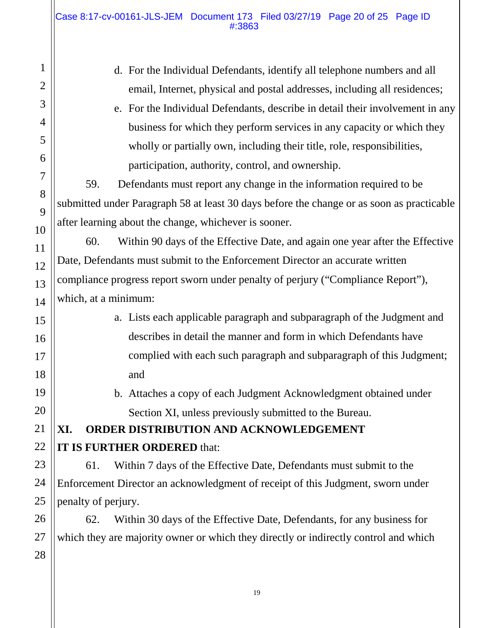1 2 3 4 5 6 7 8 9 10 11 12 13 14 15 16 17 18 19 20 21 22 23 24 25 26 27 28 d. For the Individual Defendants, identify all telephone numbers and all email, Internet, physical and postal addresses, including all residences; e. For the Individual Defendants, describe in detail their involvement in any business for which they perform services in any capacity or which they wholly or partially own, including their title, role, responsibilities, participation, authority, control, and ownership. 59. Defendants must report any change in the information required to be submitted under Paragraph 58 at least 30 days before the change or as soon as practicable after learning about the change, whichever is sooner. 60. Within 90 days of the Effective Date, and again one year after the Effective Date, Defendants must submit to the Enforcement Director an accurate written compliance progress report sworn under penalty of perjury ("Compliance Report"), which, at a minimum: a. Lists each applicable paragraph and subparagraph of the Judgment and describes in detail the manner and form in which Defendants have complied with each such paragraph and subparagraph of this Judgment; and b. Attaches a copy of each Judgment Acknowledgment obtained under Section XI, unless previously submitted to the Bureau. **XI. ORDER DISTRIBUTION AND ACKNOWLEDGEMENT IT IS FURTHER ORDERED** that: 61. Within 7 days of the Effective Date, Defendants must submit to the Enforcement Director an acknowledgment of receipt of this Judgment, sworn under penalty of perjury. 62. Within 30 days of the Effective Date, Defendants, for any business for which they are majority owner or which they directly or indirectly control and which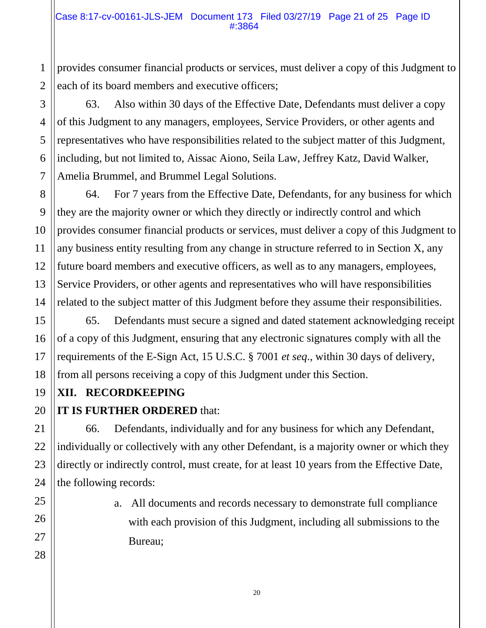provides consumer financial products or services, must deliver a copy of this Judgment to each of its board members and executive officers;

63. Also within 30 days of the Effective Date, Defendants must deliver a copy of this Judgment to any managers, employees, Service Providers, or other agents and representatives who have responsibilities related to the subject matter of this Judgment, including, but not limited to, Aissac Aiono, Seila Law, Jeffrey Katz, David Walker, Amelia Brummel, and Brummel Legal Solutions.

64. For 7 years from the Effective Date, Defendants, for any business for which they are the majority owner or which they directly or indirectly control and which provides consumer financial products or services, must deliver a copy of this Judgment to any business entity resulting from any change in structure referred to in Section X, any future board members and executive officers, as well as to any managers, employees, Service Providers, or other agents and representatives who will have responsibilities related to the subject matter of this Judgment before they assume their responsibilities.

65. Defendants must secure a signed and dated statement acknowledging receipt of a copy of this Judgment, ensuring that any electronic signatures comply with all the requirements of the E-Sign Act, 15 U.S.C. § 7001 *et seq*., within 30 days of delivery, from all persons receiving a copy of this Judgment under this Section.

#### **XII. RECORDKEEPING**

#### **IT IS FURTHER ORDERED** that:

66. Defendants, individually and for any business for which any Defendant, individually or collectively with any other Defendant, is a majority owner or which they directly or indirectly control, must create, for at least 10 years from the Effective Date, the following records:

> a. All documents and records necessary to demonstrate full compliance with each provision of this Judgment, including all submissions to the Bureau;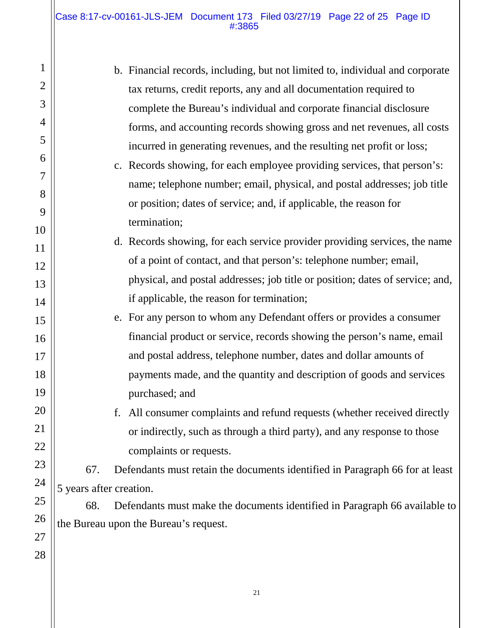#### Case 8:17-cv-00161-JLS-JEM Document 173 Filed 03/27/19 Page 22 of 25 Page ID #:3865

| 1              |                                                                                   | b. Financial records, including, but not limited to, individual and corporate |  |
|----------------|-----------------------------------------------------------------------------------|-------------------------------------------------------------------------------|--|
| $\overline{2}$ |                                                                                   | tax returns, credit reports, any and all documentation required to            |  |
| 3              |                                                                                   | complete the Bureau's individual and corporate financial disclosure           |  |
| $\overline{4}$ |                                                                                   | forms, and accounting records showing gross and net revenues, all costs       |  |
| 5              |                                                                                   | incurred in generating revenues, and the resulting net profit or loss;        |  |
| 6              |                                                                                   | c. Records showing, for each employee providing services, that person's:      |  |
| 7              |                                                                                   | name; telephone number; email, physical, and postal addresses; job title      |  |
| 8              |                                                                                   | or position; dates of service; and, if applicable, the reason for             |  |
| 9              |                                                                                   | termination;                                                                  |  |
| 10             |                                                                                   | d. Records showing, for each service provider providing services, the name    |  |
| 11             |                                                                                   | of a point of contact, and that person's: telephone number; email,            |  |
| 12             |                                                                                   | physical, and postal addresses; job title or position; dates of service; and, |  |
| 13             |                                                                                   | if applicable, the reason for termination;                                    |  |
| 14             |                                                                                   | e. For any person to whom any Defendant offers or provides a consumer         |  |
| 15             |                                                                                   | financial product or service, records showing the person's name, email        |  |
| 16             |                                                                                   |                                                                               |  |
| 17             |                                                                                   | and postal address, telephone number, dates and dollar amounts of             |  |
| 18             |                                                                                   | payments made, and the quantity and description of goods and services         |  |
| 19             |                                                                                   | purchased; and                                                                |  |
| 20             |                                                                                   | f. All consumer complaints and refund requests (whether received directly     |  |
| 21             |                                                                                   | or indirectly, such as through a third party), and any response to those      |  |
| 22             |                                                                                   | complaints or requests.                                                       |  |
| 23<br>24       | 67.                                                                               | Defendants must retain the documents identified in Paragraph 66 for at least  |  |
| 25             | 5 years after creation.                                                           |                                                                               |  |
| 26             | 68.<br>Defendants must make the documents identified in Paragraph 66 available to |                                                                               |  |
| 27             | the Bureau upon the Bureau's request.                                             |                                                                               |  |
| 28             |                                                                                   |                                                                               |  |
|                |                                                                                   |                                                                               |  |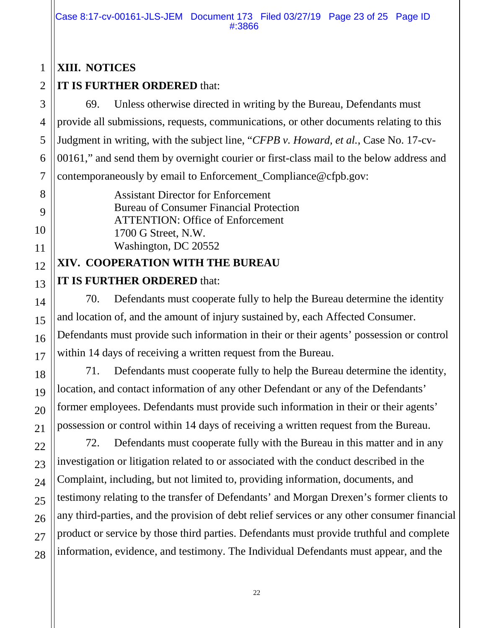#### **XIII. NOTICES**

#### **IT IS FURTHER ORDERED** that:

69. Unless otherwise directed in writing by the Bureau, Defendants must provide all submissions, requests, communications, or other documents relating to this Judgment in writing, with the subject line, "*CFPB v. Howard, et al.*, Case No. 17-cv-00161," and send them by overnight courier or first-class mail to the below address and contemporaneously by email to Enforcement\_Compliance@cfpb.gov:

> Assistant Director for Enforcement Bureau of Consumer Financial Protection ATTENTION: Office of Enforcement 1700 G Street, N.W. Washington, DC 20552

#### **XIV. COOPERATION WITH THE BUREAU**

#### **IT IS FURTHER ORDERED** that:

70. Defendants must cooperate fully to help the Bureau determine the identity and location of, and the amount of injury sustained by, each Affected Consumer. Defendants must provide such information in their or their agents' possession or control within 14 days of receiving a written request from the Bureau.

71. Defendants must cooperate fully to help the Bureau determine the identity, location, and contact information of any other Defendant or any of the Defendants' former employees. Defendants must provide such information in their or their agents' possession or control within 14 days of receiving a written request from the Bureau.

72. Defendants must cooperate fully with the Bureau in this matter and in any investigation or litigation related to or associated with the conduct described in the Complaint, including, but not limited to, providing information, documents, and testimony relating to the transfer of Defendants' and Morgan Drexen's former clients to any third-parties, and the provision of debt relief services or any other consumer financial product or service by those third parties. Defendants must provide truthful and complete information, evidence, and testimony. The Individual Defendants must appear, and the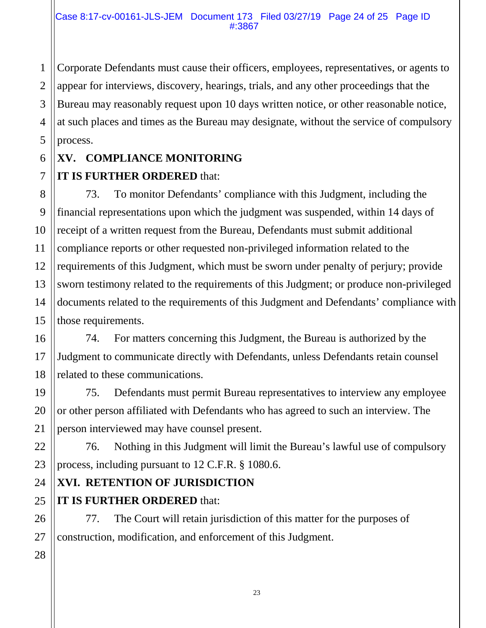Corporate Defendants must cause their officers, employees, representatives, or agents to appear for interviews, discovery, hearings, trials, and any other proceedings that the Bureau may reasonably request upon 10 days written notice, or other reasonable notice, at such places and times as the Bureau may designate, without the service of compulsory process.

#### **XV. COMPLIANCE MONITORING**

#### **IT IS FURTHER ORDERED** that:

73. To monitor Defendants' compliance with this Judgment, including the financial representations upon which the judgment was suspended, within 14 days of receipt of a written request from the Bureau, Defendants must submit additional compliance reports or other requested non-privileged information related to the requirements of this Judgment, which must be sworn under penalty of perjury; provide sworn testimony related to the requirements of this Judgment; or produce non-privileged documents related to the requirements of this Judgment and Defendants' compliance with those requirements.

74. For matters concerning this Judgment, the Bureau is authorized by the Judgment to communicate directly with Defendants, unless Defendants retain counsel related to these communications.

75. Defendants must permit Bureau representatives to interview any employee or other person affiliated with Defendants who has agreed to such an interview. The person interviewed may have counsel present.

76. Nothing in this Judgment will limit the Bureau's lawful use of compulsory process, including pursuant to 12 C.F.R. § 1080.6.

#### **XVI. RETENTION OF JURISDICTION**

#### **IT IS FURTHER ORDERED** that:

77. The Court will retain jurisdiction of this matter for the purposes of construction, modification, and enforcement of this Judgment.